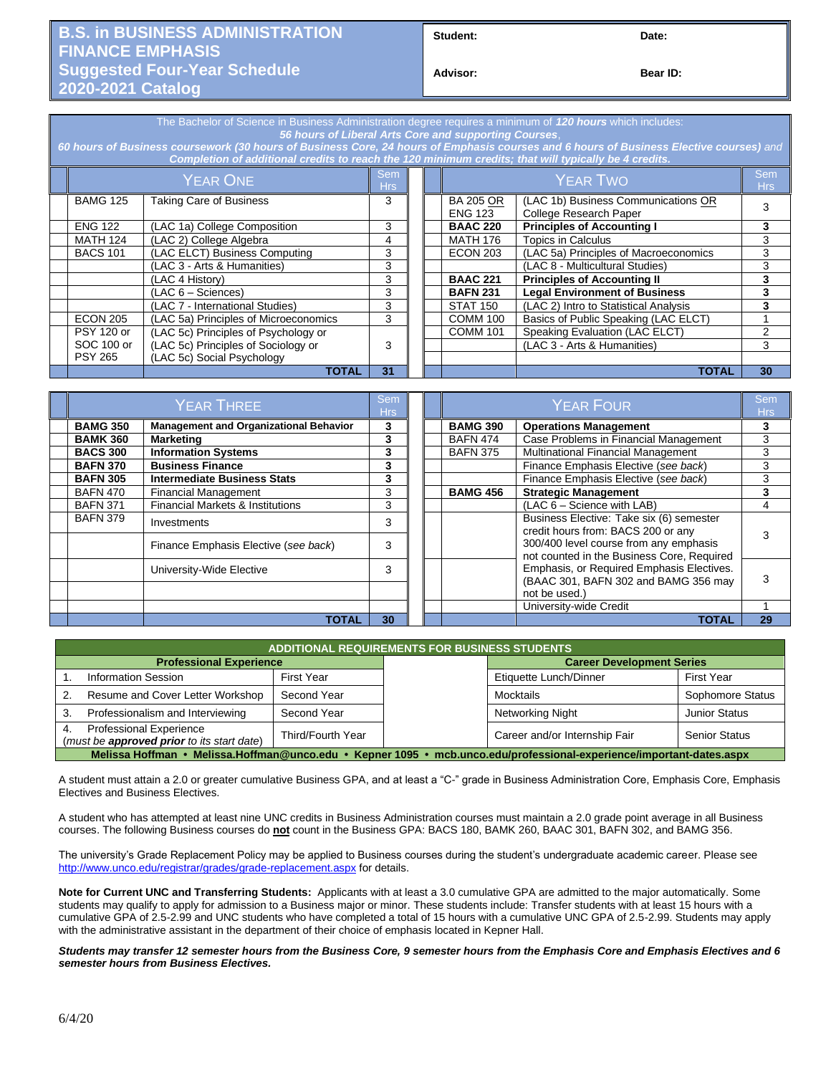## **B.S. in BUSINESS ADMINISTRATION FINANCE EMPHASIS Suggested Four-Year Schedule 2020-2021 Catalog**

Student: Date:

**Bear ID:** 

| The Bachelor of Science in Business Administration degree requires a minimum of 120 hours which includes:<br>56 hours of Liberal Arts Core and supporting Courses.<br>60 hours of Business coursework (30 hours of Business Core, 24 hours of Emphasis courses and 6 hours of Business Elective courses) and<br>Completion of additional credits to reach the 120 minimum credits; that will typically be 4 credits. |                                       |    |  |  |                                    |                                                               |                          |
|----------------------------------------------------------------------------------------------------------------------------------------------------------------------------------------------------------------------------------------------------------------------------------------------------------------------------------------------------------------------------------------------------------------------|---------------------------------------|----|--|--|------------------------------------|---------------------------------------------------------------|--------------------------|
| <b>YEAR ONE</b>                                                                                                                                                                                                                                                                                                                                                                                                      |                                       |    |  |  | <b>YEAR TWO</b>                    |                                                               | <b>Sem</b><br><b>Hrs</b> |
| <b>BAMG 125</b>                                                                                                                                                                                                                                                                                                                                                                                                      | <b>Taking Care of Business</b>        | 3  |  |  | <b>BA 205 OR</b><br><b>ENG 123</b> | (LAC 1b) Business Communications OR<br>College Research Paper | 3                        |
| <b>ENG 122</b>                                                                                                                                                                                                                                                                                                                                                                                                       | (LAC 1a) College Composition          | 3  |  |  | <b>BAAC 220</b>                    | <b>Principles of Accounting I</b>                             | 3                        |
| <b>MATH 124</b>                                                                                                                                                                                                                                                                                                                                                                                                      | (LAC 2) College Algebra               | 4  |  |  | <b>MATH 176</b>                    | Topics in Calculus                                            | 3                        |
| <b>BACS 101</b>                                                                                                                                                                                                                                                                                                                                                                                                      | (LAC ELCT) Business Computing         | 3  |  |  | <b>ECON 203</b>                    | (LAC 5a) Principles of Macroeconomics                         | 3                        |
| (LAC 3 - Arts & Humanities)                                                                                                                                                                                                                                                                                                                                                                                          |                                       | 3  |  |  |                                    | (LAC 8 - Multicultural Studies)                               | 3                        |
| (LAC 4 History)                                                                                                                                                                                                                                                                                                                                                                                                      |                                       | 3  |  |  | <b>BAAC 221</b>                    | <b>Principles of Accounting II</b>                            | 3                        |
| (LAC 6 – Sciences)                                                                                                                                                                                                                                                                                                                                                                                                   |                                       | 3  |  |  | <b>BAFN 231</b>                    | <b>Legal Environment of Business</b>                          | 3                        |
|                                                                                                                                                                                                                                                                                                                                                                                                                      | (LAC 7 - International Studies)       | 3  |  |  | <b>STAT 150</b>                    | (LAC 2) Intro to Statistical Analysis                         | 3                        |
| <b>ECON 205</b>                                                                                                                                                                                                                                                                                                                                                                                                      | (LAC 5a) Principles of Microeconomics | 3  |  |  | <b>COMM 100</b>                    | Basics of Public Speaking (LAC ELCT)                          |                          |
| <b>PSY 120 or</b>                                                                                                                                                                                                                                                                                                                                                                                                    | (LAC 5c) Principles of Psychology or  |    |  |  | <b>COMM 101</b>                    | Speaking Evaluation (LAC ELCT)                                | 2                        |
| SOC 100 or                                                                                                                                                                                                                                                                                                                                                                                                           | (LAC 5c) Principles of Sociology or   | 3  |  |  |                                    | (LAC 3 - Arts & Humanities)                                   | 3                        |
| <b>PSY 265</b>                                                                                                                                                                                                                                                                                                                                                                                                       | (LAC 5c) Social Psychology            |    |  |  |                                    |                                                               |                          |
|                                                                                                                                                                                                                                                                                                                                                                                                                      | <b>TOTAL</b>                          | 31 |  |  |                                    | TOTAL                                                         | 30                       |

| <b>YEAR THREE</b> |                                               |    |  |                 | Sem<br>Hrs                                                                           |    |
|-------------------|-----------------------------------------------|----|--|-----------------|--------------------------------------------------------------------------------------|----|
| <b>BAMG 350</b>   | <b>Management and Organizational Behavior</b> | 3  |  | <b>BAMG 390</b> | <b>Operations Management</b>                                                         |    |
| <b>BAMK 360</b>   | <b>Marketing</b>                              | 3  |  | <b>BAFN 474</b> | Case Problems in Financial Management                                                | 3  |
| <b>BACS 300</b>   | <b>Information Systems</b>                    | 3  |  | <b>BAFN 375</b> | Multinational Financial Management                                                   | З  |
| <b>BAFN 370</b>   | <b>Business Finance</b>                       | 3  |  |                 | Finance Emphasis Elective (see back)                                                 |    |
| <b>BAFN 305</b>   | <b>Intermediate Business Stats</b>            | 3  |  |                 | Finance Emphasis Elective (see back)                                                 |    |
| <b>BAFN 470</b>   | <b>Financial Management</b>                   | 3  |  | <b>BAMG 456</b> | <b>Strategic Management</b>                                                          |    |
| <b>BAFN 371</b>   | Financial Markets & Institutions              | 3  |  |                 | (LAC 6 - Science with LAB)                                                           | 4  |
| <b>BAFN 379</b>   | Investments                                   | 3  |  |                 | Business Elective: Take six (6) semester<br>credit hours from: BACS 200 or any       |    |
|                   | Finance Emphasis Elective (see back)          | 3  |  |                 | 300/400 level course from any emphasis<br>not counted in the Business Core, Required |    |
|                   | University-Wide Elective                      | 3  |  |                 | Emphasis, or Required Emphasis Electives.<br>(BAAC 301, BAFN 302 and BAMG 356 may    |    |
|                   |                                               |    |  |                 | not be used.)                                                                        |    |
|                   |                                               |    |  |                 | University-wide Credit                                                               |    |
|                   | TOTAL                                         | 30 |  |                 | TOTAL                                                                                | 29 |

| <b>ADDITIONAL REQUIREMENTS FOR BUSINESS STUDENTS</b>                                                                 |                                                                              |                   |                  |                                  |                      |  |  |  |
|----------------------------------------------------------------------------------------------------------------------|------------------------------------------------------------------------------|-------------------|------------------|----------------------------------|----------------------|--|--|--|
|                                                                                                                      | <b>Professional Experience</b>                                               |                   |                  | <b>Career Development Series</b> |                      |  |  |  |
|                                                                                                                      | <b>Information Session</b><br>First Year                                     |                   |                  | Etiquette Lunch/Dinner           | <b>First Year</b>    |  |  |  |
| Resume and Cover Letter Workshop                                                                                     |                                                                              | Second Year       |                  | Mocktails                        | Sophomore Status     |  |  |  |
| Professionalism and Interviewing<br>Second Year                                                                      |                                                                              |                   | Networking Night | <b>Junior Status</b>             |                      |  |  |  |
|                                                                                                                      | <b>Professional Experience</b><br>(must be approved prior to its start date) | Third/Fourth Year |                  | Career and/or Internship Fair    | <b>Senior Status</b> |  |  |  |
| Melissa Hoffman • Melissa.Hoffman@unco.edu • Kepner 1095 • mcb.unco.edu/professional-experience/important-dates.aspx |                                                                              |                   |                  |                                  |                      |  |  |  |

A student must attain a 2.0 or greater cumulative Business GPA, and at least a "C-" grade in Business Administration Core, Emphasis Core, Emphasis Electives and Business Electives.

A student who has attempted at least nine UNC credits in Business Administration courses must maintain a 2.0 grade point average in all Business courses. The following Business courses do **not** count in the Business GPA: BACS 180, BAMK 260, BAAC 301, BAFN 302, and BAMG 356.

The university's Grade Replacement Policy may be applied to Business courses during the student's undergraduate academic career. Please see <http://www.unco.edu/registrar/grades/grade-replacement.aspx> for details.

**Note for Current UNC and Transferring Students:** Applicants with at least a 3.0 cumulative GPA are admitted to the major automatically. Some students may qualify to apply for admission to a Business major or minor. These students include: Transfer students with at least 15 hours with a cumulative GPA of 2.5-2.99 and UNC students who have completed a total of 15 hours with a cumulative UNC GPA of 2.5-2.99. Students may apply with the administrative assistant in the department of their choice of emphasis located in Kepner Hall.

## *Students may transfer 12 semester hours from the Business Core, 9 semester hours from the Emphasis Core and Emphasis Electives and 6 semester hours from Business Electives.*